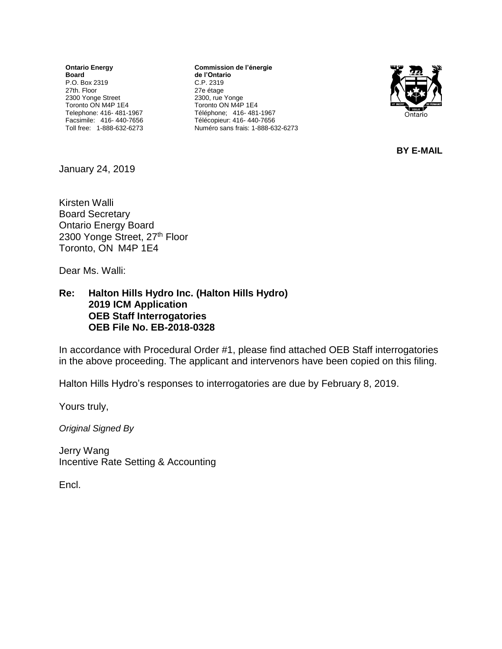**Ontario Energy Board** P.O. Box 2319 27th. Floor 2300 Yonge Street Toronto ON M4P 1E4 Telephone: 416- 481-1967 Facsimile: 416- 440-7656 Toll free: 1-888-632-6273

**Commission de l'énergie de l'Ontario** C.P. 2319 27e étage 2300, rue Yonge Toronto ON M4P 1E4 Téléphone; 416- 481-1967 Télécopieur: 416- 440-7656 Numéro sans frais: 1-888-632-6273



**BY E-MAIL**

January 24, 2019

Kirsten Walli Board Secretary Ontario Energy Board 2300 Yonge Street, 27th Floor Toronto, ON M4P 1E4

Dear Ms. Walli:

**Re: Halton Hills Hydro Inc. (Halton Hills Hydro) 2019 ICM Application OEB Staff Interrogatories OEB File No. EB-2018-0328**

In accordance with Procedural Order #1, please find attached OEB Staff interrogatories in the above proceeding. The applicant and intervenors have been copied on this filing.

Halton Hills Hydro's responses to interrogatories are due by February 8, 2019.

Yours truly,

*Original Signed By*

Jerry Wang Incentive Rate Setting & Accounting

Encl.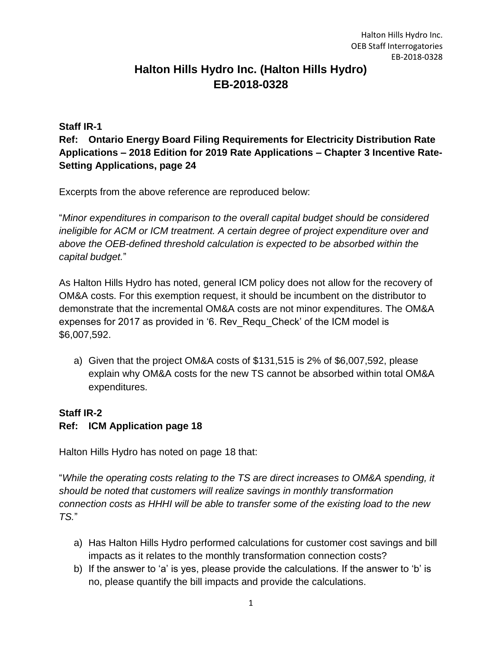# **Halton Hills Hydro Inc. (Halton Hills Hydro) EB-2018-0328**

#### **Staff IR-1**

**Ref: Ontario Energy Board Filing Requirements for Electricity Distribution Rate Applications – 2018 Edition for 2019 Rate Applications – Chapter 3 Incentive Rate-Setting Applications, page 24**

Excerpts from the above reference are reproduced below:

"*Minor expenditures in comparison to the overall capital budget should be considered ineligible for ACM or ICM treatment. A certain degree of project expenditure over and above the OEB-defined threshold calculation is expected to be absorbed within the capital budget.*"

As Halton Hills Hydro has noted, general ICM policy does not allow for the recovery of OM&A costs. For this exemption request, it should be incumbent on the distributor to demonstrate that the incremental OM&A costs are not minor expenditures. The OM&A expenses for 2017 as provided in '6. Rev\_Requ\_Check' of the ICM model is \$6,007,592.

a) Given that the project OM&A costs of \$131,515 is 2% of \$6,007,592, please explain why OM&A costs for the new TS cannot be absorbed within total OM&A expenditures.

### **Staff IR-2**

### **Ref: ICM Application page 18**

Halton Hills Hydro has noted on page 18 that:

"*While the operating costs relating to the TS are direct increases to OM&A spending, it should be noted that customers will realize savings in monthly transformation connection costs as HHHI will be able to transfer some of the existing load to the new TS.*"

- a) Has Halton Hills Hydro performed calculations for customer cost savings and bill impacts as it relates to the monthly transformation connection costs?
- b) If the answer to 'a' is yes, please provide the calculations. If the answer to 'b' is no, please quantify the bill impacts and provide the calculations.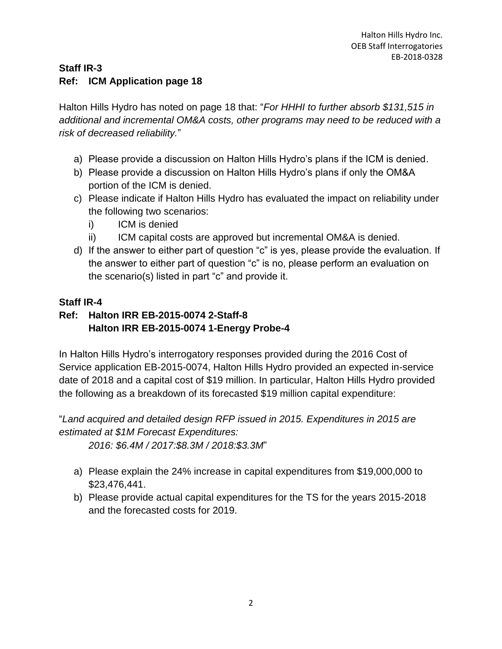### **Staff IR-3 Ref: ICM Application page 18**

Halton Hills Hydro has noted on page 18 that: "*For HHHI to further absorb \$131,515 in additional and incremental OM&A costs, other programs may need to be reduced with a risk of decreased reliability.*"

- a) Please provide a discussion on Halton Hills Hydro's plans if the ICM is denied.
- b) Please provide a discussion on Halton Hills Hydro's plans if only the OM&A portion of the ICM is denied.
- c) Please indicate if Halton Hills Hydro has evaluated the impact on reliability under the following two scenarios:
	- i) ICM is denied
	- ii) ICM capital costs are approved but incremental OM&A is denied.
- d) If the answer to either part of question "c" is yes, please provide the evaluation. If the answer to either part of question "c" is no, please perform an evaluation on the scenario(s) listed in part "c" and provide it.

### **Staff IR-4**

## **Ref: Halton IRR EB-2015-0074 2-Staff-8 Halton IRR EB-2015-0074 1-Energy Probe-4**

In Halton Hills Hydro's interrogatory responses provided during the 2016 Cost of Service application EB-2015-0074, Halton Hills Hydro provided an expected in-service date of 2018 and a capital cost of \$19 million. In particular, Halton Hills Hydro provided the following as a breakdown of its forecasted \$19 million capital expenditure:

"*Land acquired and detailed design RFP issued in 2015. Expenditures in 2015 are estimated at \$1M Forecast Expenditures:*

*2016: \$6.4M / 2017:\$8.3M / 2018:\$3.3M*"

- a) Please explain the 24% increase in capital expenditures from \$19,000,000 to \$23,476,441.
- b) Please provide actual capital expenditures for the TS for the years 2015-2018 and the forecasted costs for 2019.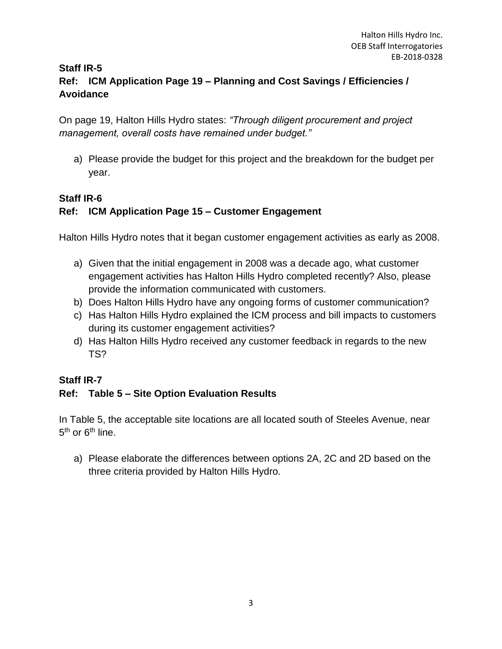### **Staff IR-5 Ref: ICM Application Page 19 – Planning and Cost Savings / Efficiencies / Avoidance**

On page 19, Halton Hills Hydro states: *"Through diligent procurement and project management, overall costs have remained under budget."*

a) Please provide the budget for this project and the breakdown for the budget per year.

### **Staff IR-6**

### **Ref: ICM Application Page 15 – Customer Engagement**

Halton Hills Hydro notes that it began customer engagement activities as early as 2008.

- a) Given that the initial engagement in 2008 was a decade ago, what customer engagement activities has Halton Hills Hydro completed recently? Also, please provide the information communicated with customers.
- b) Does Halton Hills Hydro have any ongoing forms of customer communication?
- c) Has Halton Hills Hydro explained the ICM process and bill impacts to customers during its customer engagement activities?
- d) Has Halton Hills Hydro received any customer feedback in regards to the new TS?

### **Staff IR-7**

### **Ref: Table 5 – Site Option Evaluation Results**

In Table 5, the acceptable site locations are all located south of Steeles Avenue, near 5<sup>th</sup> or 6<sup>th</sup> line.

a) Please elaborate the differences between options 2A, 2C and 2D based on the three criteria provided by Halton Hills Hydro.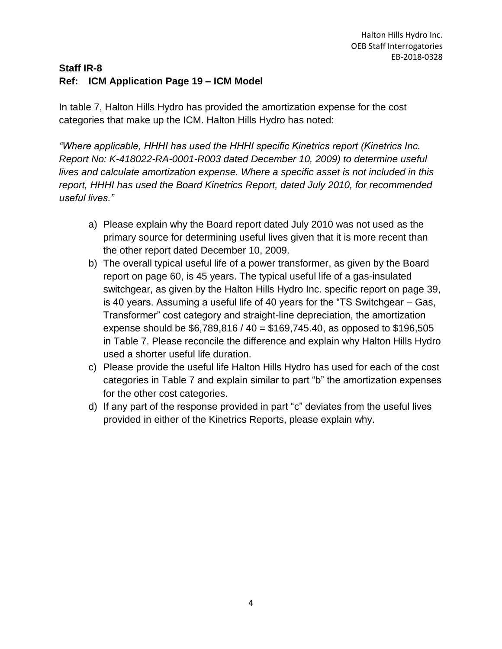### **Staff IR-8 Ref: ICM Application Page 19 – ICM Model**

In table 7, Halton Hills Hydro has provided the amortization expense for the cost categories that make up the ICM. Halton Hills Hydro has noted:

*"Where applicable, HHHI has used the HHHI specific Kinetrics report (Kinetrics Inc. Report No: K-418022-RA-0001-R003 dated December 10, 2009) to determine useful lives and calculate amortization expense. Where a specific asset is not included in this report, HHHI has used the Board Kinetrics Report, dated July 2010, for recommended useful lives."*

- a) Please explain why the Board report dated July 2010 was not used as the primary source for determining useful lives given that it is more recent than the other report dated December 10, 2009.
- b) The overall typical useful life of a power transformer, as given by the Board report on page 60, is 45 years. The typical useful life of a gas-insulated switchgear, as given by the Halton Hills Hydro Inc. specific report on page 39, is 40 years. Assuming a useful life of 40 years for the "TS Switchgear – Gas, Transformer" cost category and straight-line depreciation, the amortization expense should be \$6,789,816 / 40 = \$169,745.40, as opposed to \$196,505 in Table 7. Please reconcile the difference and explain why Halton Hills Hydro used a shorter useful life duration.
- c) Please provide the useful life Halton Hills Hydro has used for each of the cost categories in Table 7 and explain similar to part "b" the amortization expenses for the other cost categories.
- d) If any part of the response provided in part "c" deviates from the useful lives provided in either of the Kinetrics Reports, please explain why.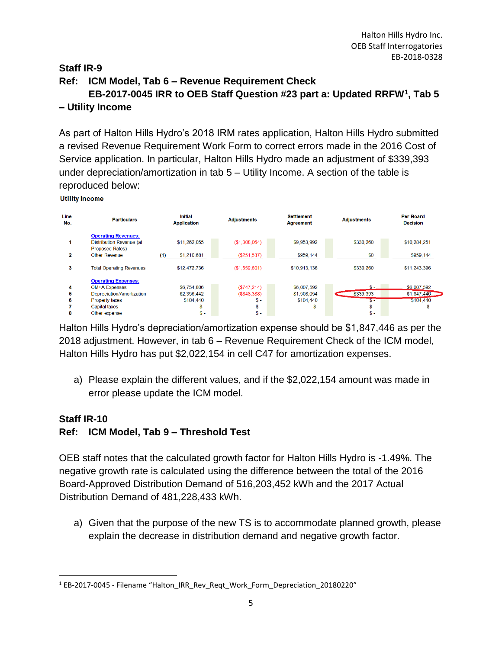### **Staff IR-9 Ref: ICM Model, Tab 6 – Revenue Requirement Check EB-2017-0045 IRR to OEB Staff Question #23 part a: Updated RRFW<sup>1</sup> , Tab 5 – Utility Income**

As part of Halton Hills Hydro's 2018 IRM rates application, Halton Hills Hydro submitted a revised Revenue Requirement Work Form to correct errors made in the 2016 Cost of Service application. In particular, Halton Hills Hydro made an adjustment of \$339,393 under depreciation/amortization in tab 5 – Utility Income. A section of the table is reproduced below:

**Utility Income** 

 $\overline{\phantom{a}}$ 

| Line<br>No. | <b>Particulars</b>              | <b>Initial</b><br><b>Application</b> | <b>Adjustments</b> | <b>Settlement</b><br><b>Agreement</b> | <b>Adjustments</b> | <b>Per Board</b><br><b>Decision</b> |
|-------------|---------------------------------|--------------------------------------|--------------------|---------------------------------------|--------------------|-------------------------------------|
|             | <b>Operating Revenues:</b>      |                                      |                    |                                       |                    |                                     |
|             | Distribution Revenue (at        | \$11,262,055                         | (\$1,308,064)      | \$9,953,992                           | \$330,260          | \$10,284,251                        |
|             | <b>Proposed Rates)</b>          |                                      |                    |                                       |                    |                                     |
| 2           | <b>Other Revenue</b>            | \$1,210,681<br>(1)                   | $(\$251.537)$      | \$959,144                             | \$0                | \$959,144                           |
| 3           | <b>Total Operating Revenues</b> | \$12,472,736                         | (\$1,559,601)      | \$10,913,136                          | \$330,260          | \$11,243,396                        |
|             | <b>Operating Expenses:</b>      |                                      |                    |                                       |                    |                                     |
| 4           | <b>OM+A Expenses</b>            | \$6,754,806                          | (\$747.214)        | \$6,007,592                           | $\mathbf{S}$ –     | \$6,007,592                         |
| 5           | Depreciation/Amortization       | \$2,356,442                          | (\$848.388)        | \$1,508,054                           | \$339,393          | \$1,847,446                         |
| 6           | <b>Property taxes</b>           | \$104,440                            | $S -$              | \$104,440                             | - SS-1             | \$104,440                           |
|             | <b>Capital taxes</b>            | $$ -$                                | $S -$              | $$ -$                                 | $$ -$              | $S -$                               |
| 8           | Other expense                   | $\frac{1}{2}$                        | $S -$              |                                       | $$ -$              |                                     |

Halton Hills Hydro's depreciation/amortization expense should be \$1,847,446 as per the 2018 adjustment. However, in tab 6 – Revenue Requirement Check of the ICM model, Halton Hills Hydro has put \$2,022,154 in cell C47 for amortization expenses.

a) Please explain the different values, and if the \$2,022,154 amount was made in error please update the ICM model.

#### **Staff IR-10 Ref: ICM Model, Tab 9 – Threshold Test**

OEB staff notes that the calculated growth factor for Halton Hills Hydro is -1.49%. The negative growth rate is calculated using the difference between the total of the 2016 Board-Approved Distribution Demand of 516,203,452 kWh and the 2017 Actual Distribution Demand of 481,228,433 kWh.

a) Given that the purpose of the new TS is to accommodate planned growth, please explain the decrease in distribution demand and negative growth factor.

<sup>1</sup> EB-2017-0045 - Filename "Halton\_IRR\_Rev\_Reqt\_Work\_Form\_Depreciation\_20180220"